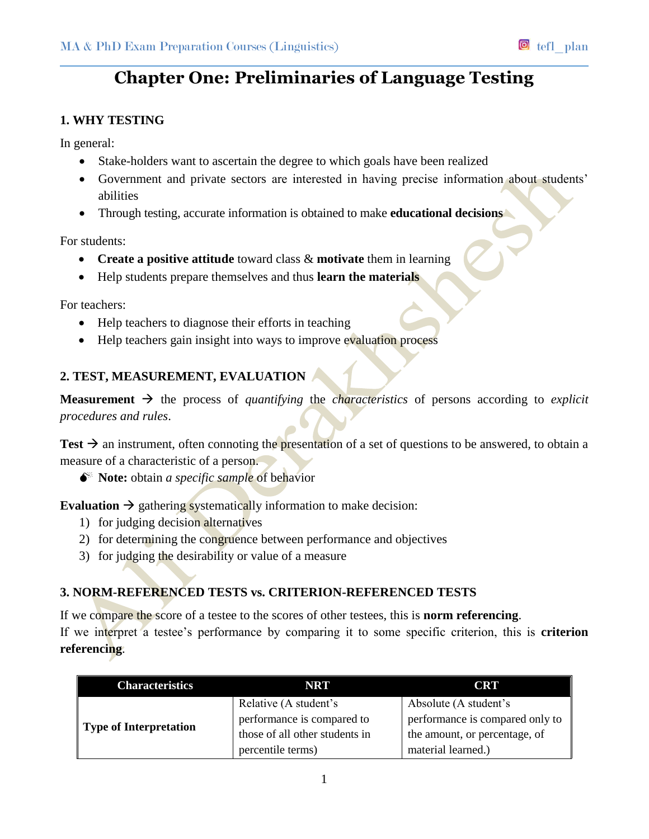# **Chapter One: Preliminaries of Language Testing**

# **1. WHY TESTING**

In general:

- Stake-holders want to ascertain the degree to which goals have been realized
- Government and private sectors are interested in having precise information about students' abilities
- Through testing, accurate information is obtained to make **educational decisions**

For students:

- **Create a positive attitude** toward class & **motivate** them in learning
- Help students prepare themselves and thus **learn the materials**

For teachers:

- Help teachers to diagnose their efforts in teaching
- Help teachers gain insight into ways to improve evaluation process

# **2. TEST, MEASUREMENT, EVALUATION**

**Measurement**  $\rightarrow$  the process of *quantifying* the *characteristics* of persons according to *explicit procedures and rules*.

Test  $\rightarrow$  an instrument, often connoting the presentation of a set of questions to be answered, to obtain a measure of a characteristic of a person.

**Note:** obtain *a specific sample* of behavior

**Evaluation**  $\rightarrow$  gathering systematically information to make decision:

- 1) for judging decision alternatives
- 2) for determining the congruence between performance and objectives
- 3) for judging the desirability or value of a measure

# **3. NORM-REFERENCED TESTS vs. CRITERION-REFERENCED TESTS**

If we compare the score of a testee to the scores of other testees, this is **norm referencing**. If we interpret a testee's performance by comparing it to some specific criterion, this is **criterion referencing**.

| <b>Characteristics</b>        | NRT                            | <b>CRT</b>                      |
|-------------------------------|--------------------------------|---------------------------------|
| <b>Type of Interpretation</b> | Relative (A student's          | Absolute (A student's           |
|                               | performance is compared to     | performance is compared only to |
|                               | those of all other students in | the amount, or percentage, of   |
|                               | percentile terms)              | material learned.)              |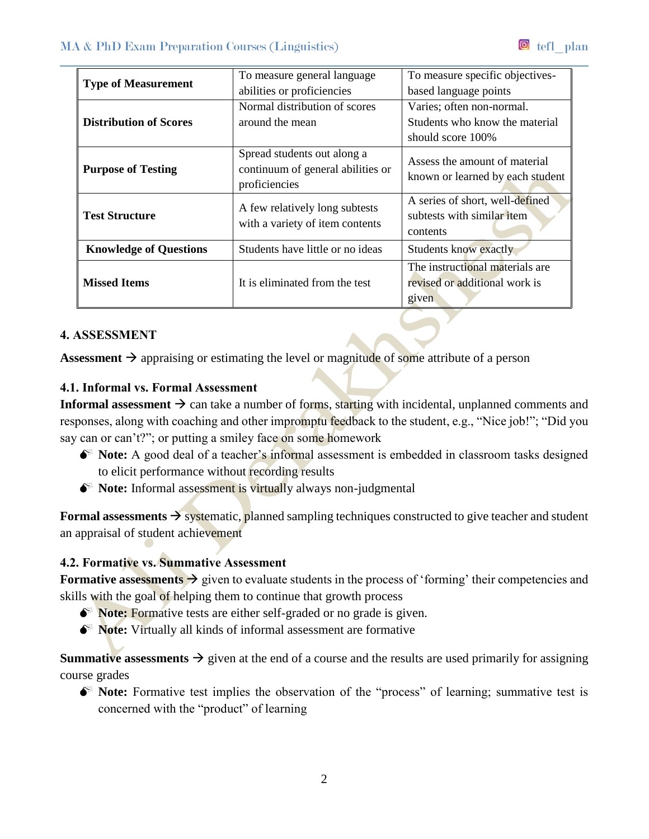| <b>Type of Measurement</b>    | To measure general language<br>abilities or proficiencies                         | To measure specific objectives-<br>based language points                         |
|-------------------------------|-----------------------------------------------------------------------------------|----------------------------------------------------------------------------------|
| <b>Distribution of Scores</b> | Normal distribution of scores<br>around the mean                                  | Varies; often non-normal.<br>Students who know the material<br>should score 100% |
| <b>Purpose of Testing</b>     | Spread students out along a<br>continuum of general abilities or<br>proficiencies | Assess the amount of material<br>known or learned by each student                |
| <b>Test Structure</b>         | A few relatively long subtests<br>with a variety of item contents                 | A series of short, well-defined<br>subtests with similar item<br>contents        |
| <b>Knowledge of Questions</b> | Students have little or no ideas                                                  | Students know exactly                                                            |
| <b>Missed Items</b>           | It is eliminated from the test                                                    | The instructional materials are<br>revised or additional work is<br>given        |

#### **4. ASSESSMENT**

**Assessment**  $\rightarrow$  appraising or estimating the level or magnitude of some attribute of a person

# **4.1. Informal vs. Formal Assessment**

**Informal assessment**  $\rightarrow$  can take a number of forms, starting with incidental, unplanned comments and responses, along with coaching and other impromptu feedback to the student, e.g., "Nice job!"; "Did you say can or can't?"; or putting a smiley face on some homework

- $\bullet^*$  Note: A good deal of a teacher's informal assessment is embedded in classroom tasks designed to elicit performance without recording results
- $\bullet^*$  Note: Informal assessment is virtually always non-judgmental

**Formal assessments**  $\rightarrow$  systematic, planned sampling techniques constructed to give teacher and student an appraisal of student achievement

# **4.2. Formative vs. Summative Assessment**

**Formative assessments**  $\rightarrow$  given to evaluate students in the process of 'forming' their competencies and skills with the goal of helping them to continue that growth process

- **Note:** Formative tests are either self-graded or no grade is given.
- $\bullet^*$  **Note:** Virtually all kinds of informal assessment are formative

**Summative assessments**  $\rightarrow$  given at the end of a course and the results are used primarily for assigning course grades

**Note:** Formative test implies the observation of the "process" of learning; summative test is concerned with the "product" of learning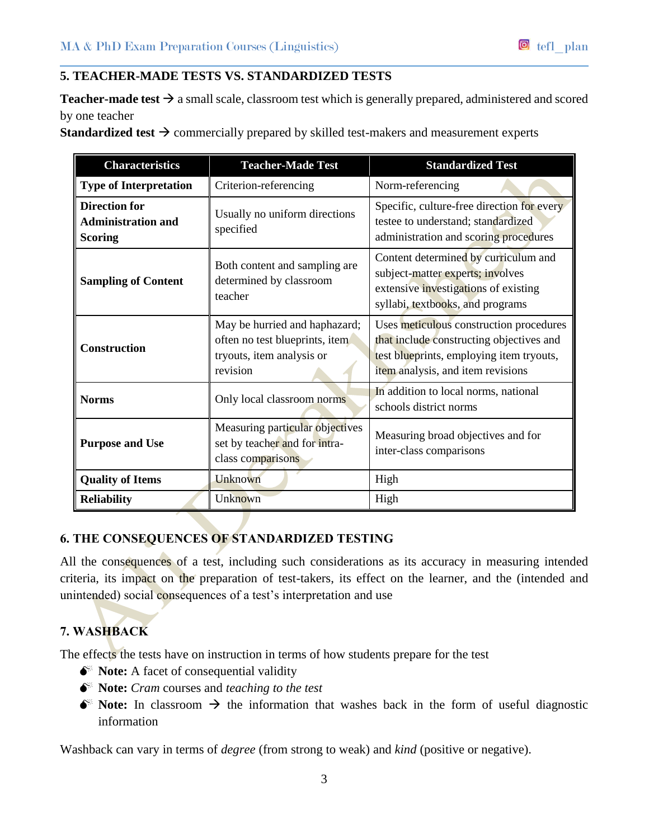#### **5. TEACHER-MADE TESTS VS. STANDARDIZED TESTS**

**Teacher-made test**  $\rightarrow$  a small scale, classroom test which is generally prepared, administered and scored by one teacher

**Standardized test**  $\rightarrow$  commercially prepared by skilled test-makers and measurement experts

| <b>Characteristics</b>                                              | <b>Teacher-Made Test</b>                                                                                 | <b>Standardized Test</b>                                                                                                                                             |
|---------------------------------------------------------------------|----------------------------------------------------------------------------------------------------------|----------------------------------------------------------------------------------------------------------------------------------------------------------------------|
| <b>Type of Interpretation</b>                                       | Criterion-referencing                                                                                    | Norm-referencing                                                                                                                                                     |
| <b>Direction for</b><br><b>Administration and</b><br><b>Scoring</b> | Usually no uniform directions<br>specified                                                               | Specific, culture-free direction for every<br>testee to understand; standardized<br>administration and scoring procedures                                            |
| <b>Sampling of Content</b>                                          | Both content and sampling are<br>determined by classroom<br>teacher                                      | Content determined by curriculum and<br>subject-matter experts; involves<br>extensive investigations of existing<br>syllabi, textbooks, and programs                 |
| <b>Construction</b>                                                 | May be hurried and haphazard;<br>often no test blueprints, item<br>tryouts, item analysis or<br>revision | Uses meticulous construction procedures<br>that include constructing objectives and<br>test blueprints, employing item tryouts,<br>item analysis, and item revisions |
| <b>Norms</b>                                                        | Only local classroom norms                                                                               | In addition to local norms, national<br>schools district norms                                                                                                       |
| <b>Purpose and Use</b>                                              | Measuring particular objectives<br>set by teacher and for intra-<br>class comparisons                    | Measuring broad objectives and for<br>inter-class comparisons                                                                                                        |
| <b>Quality of Items</b>                                             | Unknown                                                                                                  | High                                                                                                                                                                 |
| <b>Reliability</b>                                                  | Unknown                                                                                                  | High                                                                                                                                                                 |

# **6. THE CONSEQUENCES OF STANDARDIZED TESTING**

All the consequences of a test, including such considerations as its accuracy in measuring intended criteria, its impact on the preparation of test-takers, its effect on the learner, and the (intended and unintended) social consequences of a test's interpretation and use

# **7. WASHBACK**

The effects the tests have on instruction in terms of how students prepare for the test

- $\bullet^*$  **Note:** A facet of consequential validity
- **Note:** *Cram* courses and *teaching to the test*
- $\bullet^*$  Note: In classroom  $\rightarrow$  the information that washes back in the form of useful diagnostic information

Washback can vary in terms of *degree* (from strong to weak) and *kind* (positive or negative).